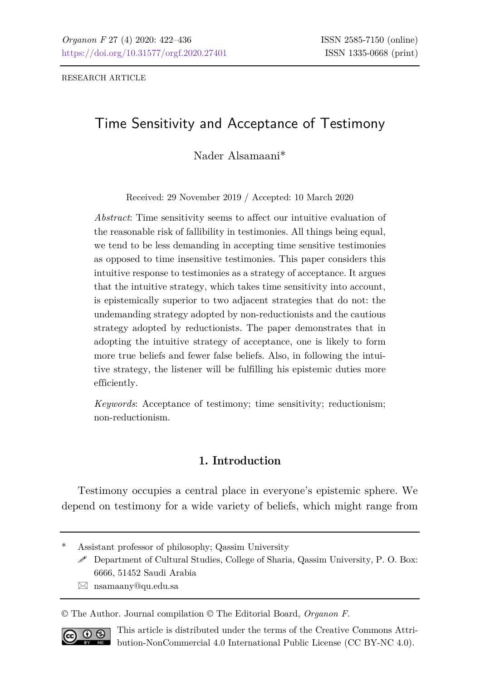RESEARCH ARTICLE

# Time Sensitivity and Acceptance of Testimony

Nader Alsamaani\*

Received: 29 November 2019 / Accepted: 10 March 2020

*Abstract*: Time sensitivity seems to affect our intuitive evaluation of the reasonable risk of fallibility in testimonies. All things being equal, we tend to be less demanding in accepting time sensitive testimonies as opposed to time insensitive testimonies. This paper considers this intuitive response to testimonies as a strategy of acceptance. It argues that the intuitive strategy, which takes time sensitivity into account, is epistemically superior to two adjacent strategies that do not: the undemanding strategy adopted by non-reductionists and the cautious strategy adopted by reductionists. The paper demonstrates that in adopting the intuitive strategy of acceptance, one is likely to form more true beliefs and fewer false beliefs. Also, in following the intuitive strategy, the listener will be fulfilling his epistemic duties more efficiently.

*Keywords*: Acceptance of testimony; time sensitivity; reductionism; non-reductionism.

### **1. Introduction**

Testimony occupies a central place in everyone's epistemic sphere. We depend on testimony for a wide variety of beliefs, which might range from

nsamaany@qu.edu.sa

© The Author. Journal compilation © The Editorial Board, *Organon F*.



This article is distributed under the terms of the Creative Commons Attribution-NonCommercial 4.0 International Public License (CC BY-NC 4.0).

Assistant professor of philosophy; Qassim University

Department of Cultural Studies, College of Sharia, Qassim University, P. O. Box: 6666, 51452 Saudi Arabia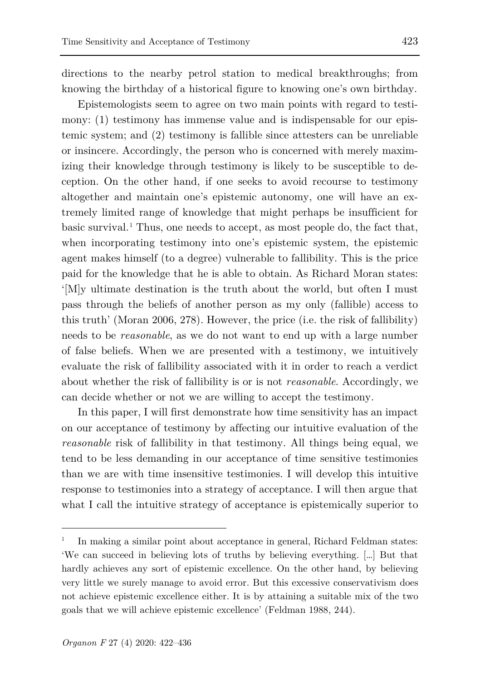directions to the nearby petrol station to medical breakthroughs; from knowing the birthday of a historical figure to knowing one's own birthday.

Epistemologists seem to agree on two main points with regard to testimony: (1) testimony has immense value and is indispensable for our epistemic system; and (2) testimony is fallible since attesters can be unreliable or insincere. Accordingly, the person who is concerned with merely maximizing their knowledge through testimony is likely to be susceptible to deception. On the other hand, if one seeks to avoid recourse to testimony altogether and maintain one's epistemic autonomy, one will have an extremely limited range of knowledge that might perhaps be insufficient for basic survival.<sup>[1](#page-1-0)</sup> Thus, one needs to accept, as most people do, the fact that, when incorporating testimony into one's epistemic system, the epistemic agent makes himself (to a degree) vulnerable to fallibility. This is the price paid for the knowledge that he is able to obtain. As Richard Moran states: '[M]y ultimate destination is the truth about the world, but often I must pass through the beliefs of another person as my only (fallible) access to this truth' (Moran 2006, 278). However, the price (i.e. the risk of fallibility) needs to be *reasonable*, as we do not want to end up with a large number of false beliefs. When we are presented with a testimony, we intuitively evaluate the risk of fallibility associated with it in order to reach a verdict about whether the risk of fallibility is or is not *reasonable*. Accordingly, we can decide whether or not we are willing to accept the testimony.

In this paper, I will first demonstrate how time sensitivity has an impact on our acceptance of testimony by affecting our intuitive evaluation of the *reasonable* risk of fallibility in that testimony. All things being equal, we tend to be less demanding in our acceptance of time sensitive testimonies than we are with time insensitive testimonies. I will develop this intuitive response to testimonies into a strategy of acceptance. I will then argue that what I call the intuitive strategy of acceptance is epistemically superior to

l

<span id="page-1-0"></span><sup>1</sup> In making a similar point about acceptance in general, Richard Feldman states: 'We can succeed in believing lots of truths by believing everything. […] But that hardly achieves any sort of epistemic excellence. On the other hand, by believing very little we surely manage to avoid error. But this excessive conservativism does not achieve epistemic excellence either. It is by attaining a suitable mix of the two goals that we will achieve epistemic excellence' (Feldman 1988, 244).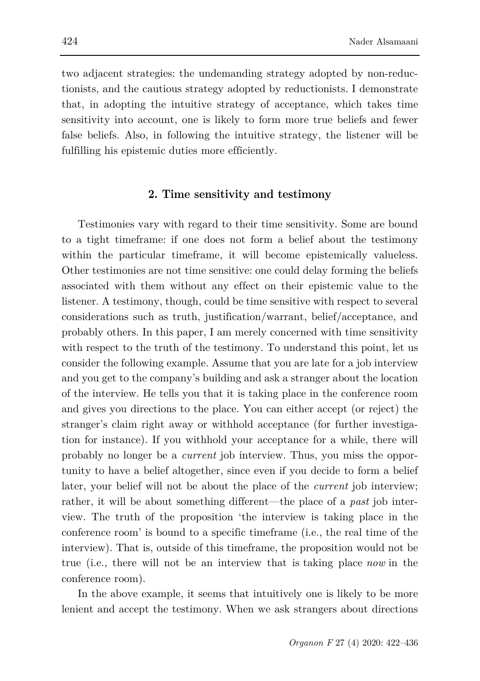two adjacent strategies: the undemanding strategy adopted by non-reductionists, and the cautious strategy adopted by reductionists. I demonstrate that, in adopting the intuitive strategy of acceptance, which takes time sensitivity into account, one is likely to form more true beliefs and fewer false beliefs. Also, in following the intuitive strategy, the listener will be fulfilling his epistemic duties more efficiently.

#### **2. Time sensitivity and testimony**

Testimonies vary with regard to their time sensitivity. Some are bound to a tight timeframe: if one does not form a belief about the testimony within the particular timeframe, it will become epistemically valueless. Other testimonies are not time sensitive: one could delay forming the beliefs associated with them without any effect on their epistemic value to the listener. A testimony, though, could be time sensitive with respect to several considerations such as truth, justification/warrant, belief/acceptance, and probably others. In this paper, I am merely concerned with time sensitivity with respect to the truth of the testimony. To understand this point, let us consider the following example. Assume that you are late for a job interview and you get to the company's building and ask a stranger about the location of the interview. He tells you that it is taking place in the conference room and gives you directions to the place. You can either accept (or reject) the stranger's claim right away or withhold acceptance (for further investigation for instance). If you withhold your acceptance for a while, there will probably no longer be a *current* job interview. Thus, you miss the opportunity to have a belief altogether, since even if you decide to form a belief later, your belief will not be about the place of the *current* job interview; rather, it will be about something different—the place of a *past* job interview. The truth of the proposition 'the interview is taking place in the conference room' is bound to a specific timeframe (i.e., the real time of the interview). That is, outside of this timeframe, the proposition would not be true (i.e., there will not be an interview that is taking place *now* in the conference room).

In the above example, it seems that intuitively one is likely to be more lenient and accept the testimony. When we ask strangers about directions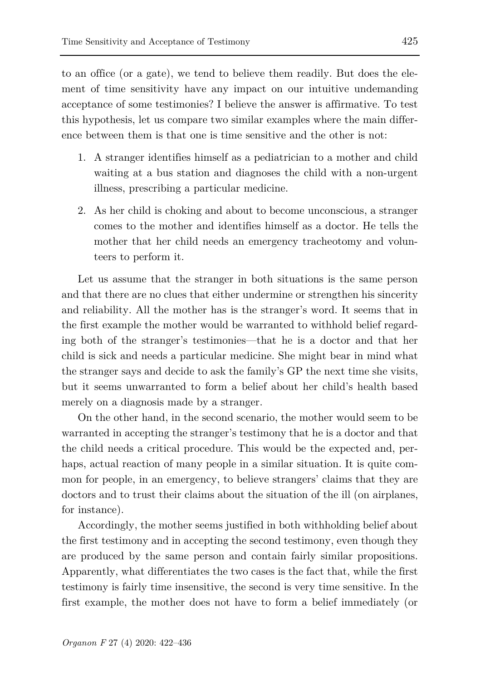to an office (or a gate), we tend to believe them readily. But does the element of time sensitivity have any impact on our intuitive undemanding acceptance of some testimonies? I believe the answer is affirmative. To test this hypothesis, let us compare two similar examples where the main difference between them is that one is time sensitive and the other is not:

- 1. A stranger identifies himself as a pediatrician to a mother and child waiting at a bus station and diagnoses the child with a non-urgent illness, prescribing a particular medicine.
- 2. As her child is choking and about to become unconscious, a stranger comes to the mother and identifies himself as a doctor. He tells the mother that her child needs an emergency tracheotomy and volunteers to perform it.

Let us assume that the stranger in both situations is the same person and that there are no clues that either undermine or strengthen his sincerity and reliability. All the mother has is the stranger's word. It seems that in the first example the mother would be warranted to withhold belief regarding both of the stranger's testimonies—that he is a doctor and that her child is sick and needs a particular medicine. She might bear in mind what the stranger says and decide to ask the family's GP the next time she visits, but it seems unwarranted to form a belief about her child's health based merely on a diagnosis made by a stranger.

On the other hand, in the second scenario, the mother would seem to be warranted in accepting the stranger's testimony that he is a doctor and that the child needs a critical procedure. This would be the expected and, perhaps, actual reaction of many people in a similar situation. It is quite common for people, in an emergency, to believe strangers' claims that they are doctors and to trust their claims about the situation of the ill (on airplanes, for instance).

Accordingly, the mother seems justified in both withholding belief about the first testimony and in accepting the second testimony, even though they are produced by the same person and contain fairly similar propositions. Apparently, what differentiates the two cases is the fact that, while the first testimony is fairly time insensitive, the second is very time sensitive. In the first example, the mother does not have to form a belief immediately (or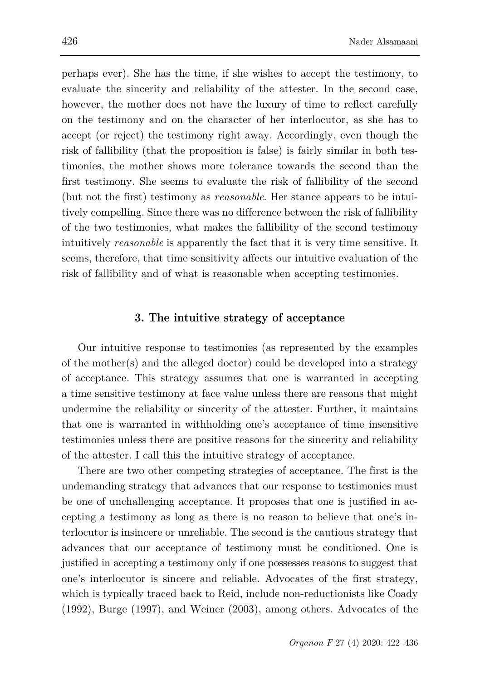perhaps ever). She has the time, if she wishes to accept the testimony, to evaluate the sincerity and reliability of the attester. In the second case, however, the mother does not have the luxury of time to reflect carefully on the testimony and on the character of her interlocutor, as she has to accept (or reject) the testimony right away. Accordingly, even though the risk of fallibility (that the proposition is false) is fairly similar in both testimonies, the mother shows more tolerance towards the second than the first testimony. She seems to evaluate the risk of fallibility of the second (but not the first) testimony as *reasonable*. Her stance appears to be intuitively compelling. Since there was no difference between the risk of fallibility of the two testimonies, what makes the fallibility of the second testimony intuitively *reasonable* is apparently the fact that it is very time sensitive. It seems, therefore, that time sensitivity affects our intuitive evaluation of the risk of fallibility and of what is reasonable when accepting testimonies.

#### **3. The intuitive strategy of acceptance**

Our intuitive response to testimonies (as represented by the examples of the mother(s) and the alleged doctor) could be developed into a strategy of acceptance. This strategy assumes that one is warranted in accepting a time sensitive testimony at face value unless there are reasons that might undermine the reliability or sincerity of the attester. Further, it maintains that one is warranted in withholding one's acceptance of time insensitive testimonies unless there are positive reasons for the sincerity and reliability of the attester. I call this the intuitive strategy of acceptance.

There are two other competing strategies of acceptance. The first is the undemanding strategy that advances that our response to testimonies must be one of unchallenging acceptance. It proposes that one is justified in accepting a testimony as long as there is no reason to believe that one's interlocutor is insincere or unreliable. The second is the cautious strategy that advances that our acceptance of testimony must be conditioned. One is justified in accepting a testimony only if one possesses reasons to suggest that one's interlocutor is sincere and reliable. Advocates of the first strategy, which is typically traced back to Reid, include non-reductionists like Coady (1992), Burge (1997), and Weiner (2003), among others. Advocates of the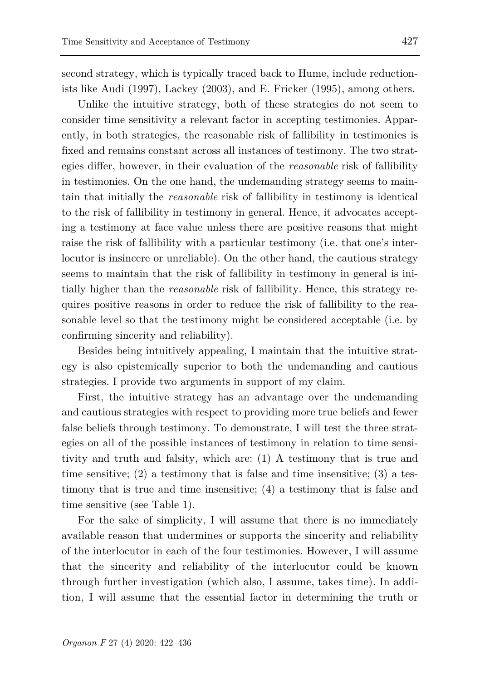second strategy, which is typically traced back to Hume, include reductionists like Audi (1997), Lackey (2003), and E. Fricker (1995), among others.

Unlike the intuitive strategy, both of these strategies do not seem to consider time sensitivity a relevant factor in accepting testimonies. Apparently, in both strategies, the reasonable risk of fallibility in testimonies is fixed and remains constant across all instances of testimony. The two strategies differ, however, in their evaluation of the *reasonable* risk of fallibility in testimonies. On the one hand, the undemanding strategy seems to maintain that initially the *reasonable* risk of fallibility in testimony is identical to the risk of fallibility in testimony in general. Hence, it advocates accepting a testimony at face value unless there are positive reasons that might raise the risk of fallibility with a particular testimony (i.e. that one's interlocutor is insincere or unreliable). On the other hand, the cautious strategy seems to maintain that the risk of fallibility in testimony in general is initially higher than the *reasonable* risk of fallibility. Hence, this strategy requires positive reasons in order to reduce the risk of fallibility to the reasonable level so that the testimony might be considered acceptable (i.e. by confirming sincerity and reliability).

Besides being intuitively appealing, I maintain that the intuitive strategy is also epistemically superior to both the undemanding and cautious strategies. I provide two arguments in support of my claim.

First, the intuitive strategy has an advantage over the undemanding and cautious strategies with respect to providing more true beliefs and fewer false beliefs through testimony. To demonstrate, I will test the three strategies on all of the possible instances of testimony in relation to time sensitivity and truth and falsity, which are: (1) A testimony that is true and time sensitive;  $(2)$  a testimony that is false and time insensitive;  $(3)$  a testimony that is true and time insensitive; (4) a testimony that is false and time sensitive (see Table 1).

For the sake of simplicity, I will assume that there is no immediately available reason that undermines or supports the sincerity and reliability of the interlocutor in each of the four testimonies. However, I will assume that the sincerity and reliability of the interlocutor could be known through further investigation (which also, I assume, takes time). In addition, I will assume that the essential factor in determining the truth or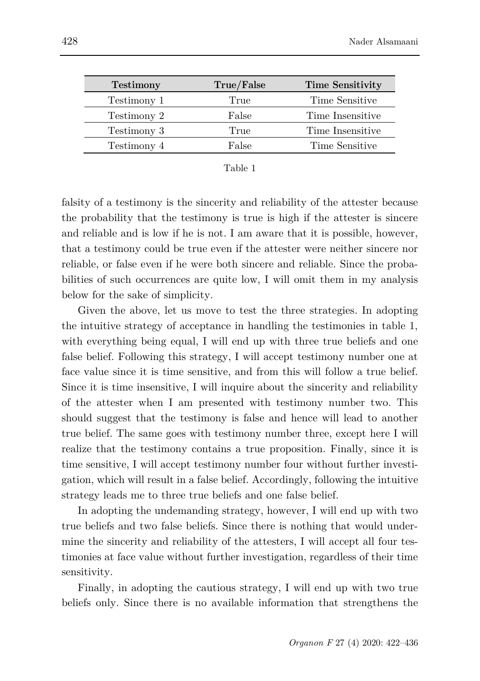| <b>Testimony</b> | True/False | <b>Time Sensitivity</b> |
|------------------|------------|-------------------------|
| Testimony 1      | True       | Time Sensitive          |
| Testimony 2      | False      | Time Insensitive        |
| Testimony 3      | True       | Time Insensitive        |
| Testimony 4      | False      | Time Sensitive          |

| ane |  |
|-----|--|
|     |  |

falsity of a testimony is the sincerity and reliability of the attester because the probability that the testimony is true is high if the attester is sincere and reliable and is low if he is not. I am aware that it is possible, however, that a testimony could be true even if the attester were neither sincere nor reliable, or false even if he were both sincere and reliable. Since the probabilities of such occurrences are quite low, I will omit them in my analysis below for the sake of simplicity.

Given the above, let us move to test the three strategies. In adopting the intuitive strategy of acceptance in handling the testimonies in table 1, with everything being equal, I will end up with three true beliefs and one false belief. Following this strategy, I will accept testimony number one at face value since it is time sensitive, and from this will follow a true belief. Since it is time insensitive, I will inquire about the sincerity and reliability of the attester when I am presented with testimony number two. This should suggest that the testimony is false and hence will lead to another true belief. The same goes with testimony number three, except here I will realize that the testimony contains a true proposition. Finally, since it is time sensitive, I will accept testimony number four without further investigation, which will result in a false belief. Accordingly, following the intuitive strategy leads me to three true beliefs and one false belief.

In adopting the undemanding strategy, however, I will end up with two true beliefs and two false beliefs. Since there is nothing that would undermine the sincerity and reliability of the attesters, I will accept all four testimonies at face value without further investigation, regardless of their time sensitivity.

Finally, in adopting the cautious strategy, I will end up with two true beliefs only. Since there is no available information that strengthens the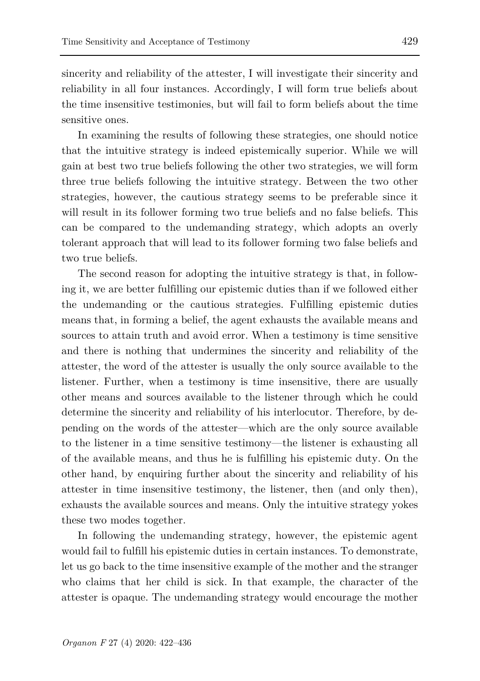sincerity and reliability of the attester, I will investigate their sincerity and reliability in all four instances. Accordingly, I will form true beliefs about the time insensitive testimonies, but will fail to form beliefs about the time sensitive ones.

In examining the results of following these strategies, one should notice that the intuitive strategy is indeed epistemically superior. While we will gain at best two true beliefs following the other two strategies, we will form three true beliefs following the intuitive strategy. Between the two other strategies, however, the cautious strategy seems to be preferable since it will result in its follower forming two true beliefs and no false beliefs. This can be compared to the undemanding strategy, which adopts an overly tolerant approach that will lead to its follower forming two false beliefs and two true beliefs.

The second reason for adopting the intuitive strategy is that, in following it, we are better fulfilling our epistemic duties than if we followed either the undemanding or the cautious strategies. Fulfilling epistemic duties means that, in forming a belief, the agent exhausts the available means and sources to attain truth and avoid error. When a testimony is time sensitive and there is nothing that undermines the sincerity and reliability of the attester, the word of the attester is usually the only source available to the listener. Further, when a testimony is time insensitive, there are usually other means and sources available to the listener through which he could determine the sincerity and reliability of his interlocutor. Therefore, by depending on the words of the attester—which are the only source available to the listener in a time sensitive testimony—the listener is exhausting all of the available means, and thus he is fulfilling his epistemic duty. On the other hand, by enquiring further about the sincerity and reliability of his attester in time insensitive testimony, the listener, then (and only then), exhausts the available sources and means. Only the intuitive strategy yokes these two modes together.

In following the undemanding strategy, however, the epistemic agent would fail to fulfill his epistemic duties in certain instances. To demonstrate, let us go back to the time insensitive example of the mother and the stranger who claims that her child is sick. In that example, the character of the attester is opaque. The undemanding strategy would encourage the mother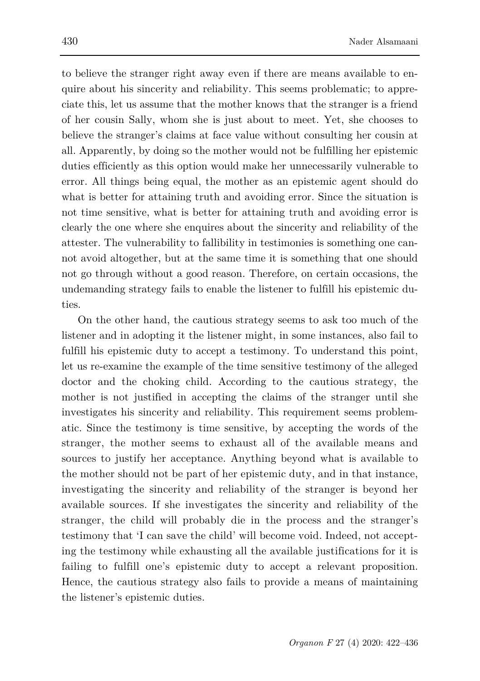to believe the stranger right away even if there are means available to enquire about his sincerity and reliability. This seems problematic; to appreciate this, let us assume that the mother knows that the stranger is a friend of her cousin Sally, whom she is just about to meet. Yet, she chooses to believe the stranger's claims at face value without consulting her cousin at all. Apparently, by doing so the mother would not be fulfilling her epistemic duties efficiently as this option would make her unnecessarily vulnerable to error. All things being equal, the mother as an epistemic agent should do what is better for attaining truth and avoiding error. Since the situation is not time sensitive, what is better for attaining truth and avoiding error is clearly the one where she enquires about the sincerity and reliability of the attester. The vulnerability to fallibility in testimonies is something one cannot avoid altogether, but at the same time it is something that one should not go through without a good reason. Therefore, on certain occasions, the undemanding strategy fails to enable the listener to fulfill his epistemic duties.

On the other hand, the cautious strategy seems to ask too much of the listener and in adopting it the listener might, in some instances, also fail to fulfill his epistemic duty to accept a testimony. To understand this point, let us re-examine the example of the time sensitive testimony of the alleged doctor and the choking child. According to the cautious strategy, the mother is not justified in accepting the claims of the stranger until she investigates his sincerity and reliability. This requirement seems problematic. Since the testimony is time sensitive, by accepting the words of the stranger, the mother seems to exhaust all of the available means and sources to justify her acceptance. Anything beyond what is available to the mother should not be part of her epistemic duty, and in that instance, investigating the sincerity and reliability of the stranger is beyond her available sources. If she investigates the sincerity and reliability of the stranger, the child will probably die in the process and the stranger's testimony that 'I can save the child' will become void. Indeed, not accepting the testimony while exhausting all the available justifications for it is failing to fulfill one's epistemic duty to accept a relevant proposition. Hence, the cautious strategy also fails to provide a means of maintaining the listener's epistemic duties.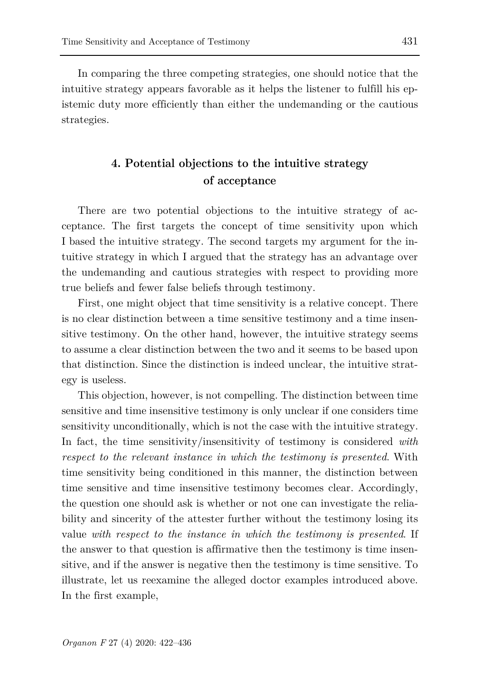In comparing the three competing strategies, one should notice that the intuitive strategy appears favorable as it helps the listener to fulfill his epistemic duty more efficiently than either the undemanding or the cautious strategies.

## **4. Potential objections to the intuitive strategy of acceptance**

There are two potential objections to the intuitive strategy of acceptance. The first targets the concept of time sensitivity upon which I based the intuitive strategy. The second targets my argument for the intuitive strategy in which I argued that the strategy has an advantage over the undemanding and cautious strategies with respect to providing more true beliefs and fewer false beliefs through testimony.

First, one might object that time sensitivity is a relative concept. There is no clear distinction between a time sensitive testimony and a time insensitive testimony. On the other hand, however, the intuitive strategy seems to assume a clear distinction between the two and it seems to be based upon that distinction. Since the distinction is indeed unclear, the intuitive strategy is useless.

This objection, however, is not compelling. The distinction between time sensitive and time insensitive testimony is only unclear if one considers time sensitivity unconditionally, which is not the case with the intuitive strategy. In fact, the time sensitivity/insensitivity of testimony is considered *with respect to the relevant instance in which the testimony is presented*. With time sensitivity being conditioned in this manner, the distinction between time sensitive and time insensitive testimony becomes clear. Accordingly, the question one should ask is whether or not one can investigate the reliability and sincerity of the attester further without the testimony losing its value *with respect to the instance in which the testimony is presented*. If the answer to that question is affirmative then the testimony is time insensitive, and if the answer is negative then the testimony is time sensitive. To illustrate, let us reexamine the alleged doctor examples introduced above. In the first example,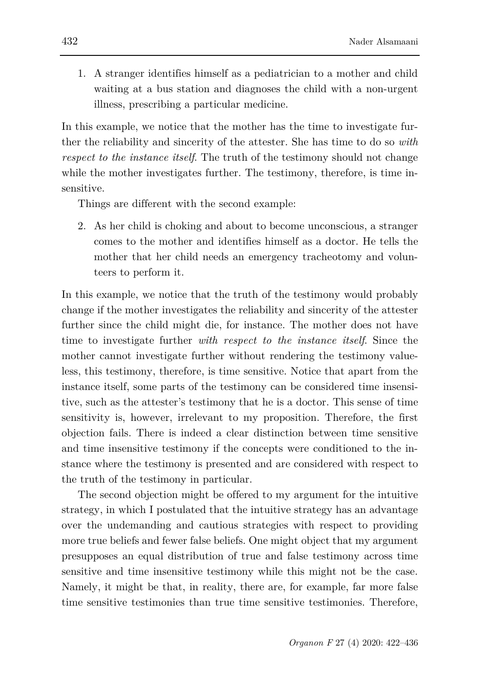1. A stranger identifies himself as a pediatrician to a mother and child waiting at a bus station and diagnoses the child with a non-urgent illness, prescribing a particular medicine.

In this example, we notice that the mother has the time to investigate further the reliability and sincerity of the attester. She has time to do so *with respect to the instance itself*. The truth of the testimony should not change while the mother investigates further. The testimony, therefore, is time insensitive.

Things are different with the second example:

2. As her child is choking and about to become unconscious, a stranger comes to the mother and identifies himself as a doctor. He tells the mother that her child needs an emergency tracheotomy and volunteers to perform it.

In this example, we notice that the truth of the testimony would probably change if the mother investigates the reliability and sincerity of the attester further since the child might die, for instance. The mother does not have time to investigate further *with respect to the instance itself*. Since the mother cannot investigate further without rendering the testimony valueless, this testimony, therefore, is time sensitive. Notice that apart from the instance itself, some parts of the testimony can be considered time insensitive, such as the attester's testimony that he is a doctor. This sense of time sensitivity is, however, irrelevant to my proposition. Therefore, the first objection fails. There is indeed a clear distinction between time sensitive and time insensitive testimony if the concepts were conditioned to the instance where the testimony is presented and are considered with respect to the truth of the testimony in particular.

The second objection might be offered to my argument for the intuitive strategy, in which I postulated that the intuitive strategy has an advantage over the undemanding and cautious strategies with respect to providing more true beliefs and fewer false beliefs. One might object that my argument presupposes an equal distribution of true and false testimony across time sensitive and time insensitive testimony while this might not be the case. Namely, it might be that, in reality, there are, for example, far more false time sensitive testimonies than true time sensitive testimonies. Therefore,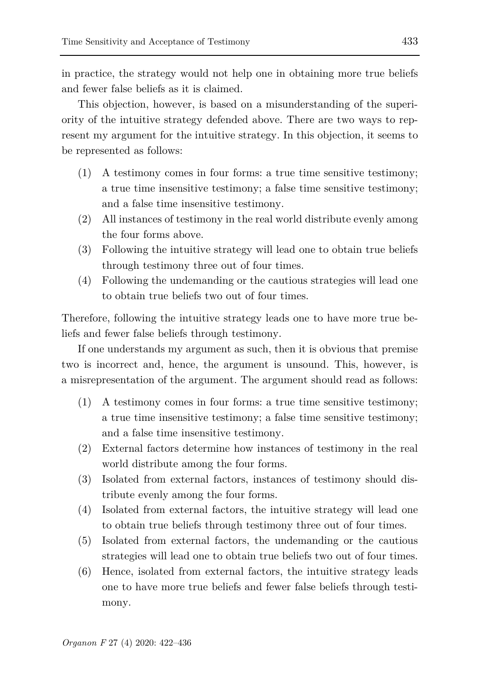in practice, the strategy would not help one in obtaining more true beliefs and fewer false beliefs as it is claimed.

This objection, however, is based on a misunderstanding of the superiority of the intuitive strategy defended above. There are two ways to represent my argument for the intuitive strategy. In this objection, it seems to be represented as follows:

- (1) A testimony comes in four forms: a true time sensitive testimony; a true time insensitive testimony; a false time sensitive testimony; and a false time insensitive testimony.
- (2) All instances of testimony in the real world distribute evenly among the four forms above.
- (3) Following the intuitive strategy will lead one to obtain true beliefs through testimony three out of four times.
- (4) Following the undemanding or the cautious strategies will lead one to obtain true beliefs two out of four times.

Therefore, following the intuitive strategy leads one to have more true beliefs and fewer false beliefs through testimony.

If one understands my argument as such, then it is obvious that premise two is incorrect and, hence, the argument is unsound. This, however, is a misrepresentation of the argument. The argument should read as follows:

- (1) A testimony comes in four forms: a true time sensitive testimony; a true time insensitive testimony; a false time sensitive testimony; and a false time insensitive testimony.
- (2) External factors determine how instances of testimony in the real world distribute among the four forms.
- (3) Isolated from external factors, instances of testimony should distribute evenly among the four forms.
- (4) Isolated from external factors, the intuitive strategy will lead one to obtain true beliefs through testimony three out of four times.
- (5) Isolated from external factors, the undemanding or the cautious strategies will lead one to obtain true beliefs two out of four times.
- (6) Hence, isolated from external factors, the intuitive strategy leads one to have more true beliefs and fewer false beliefs through testimony.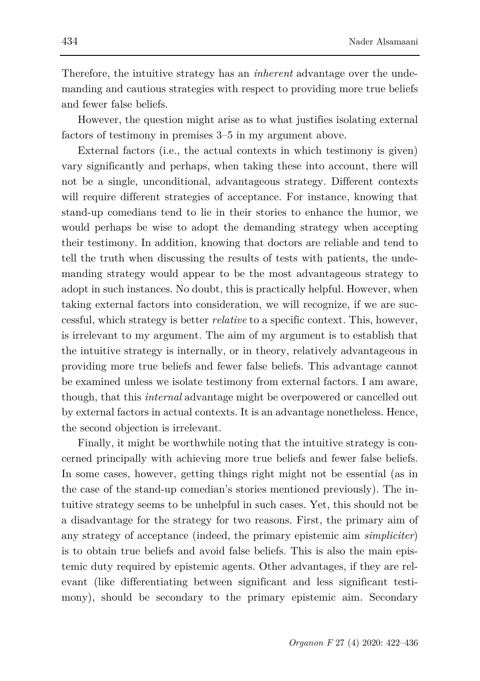Therefore, the intuitive strategy has an *inherent* advantage over the undemanding and cautious strategies with respect to providing more true beliefs and fewer false beliefs.

However, the question might arise as to what justifies isolating external factors of testimony in premises 3–5 in my argument above.

External factors (i.e., the actual contexts in which testimony is given) vary significantly and perhaps, when taking these into account, there will not be a single, unconditional, advantageous strategy. Different contexts will require different strategies of acceptance. For instance, knowing that stand-up comedians tend to lie in their stories to enhance the humor, we would perhaps be wise to adopt the demanding strategy when accepting their testimony. In addition, knowing that doctors are reliable and tend to tell the truth when discussing the results of tests with patients, the undemanding strategy would appear to be the most advantageous strategy to adopt in such instances. No doubt, this is practically helpful. However, when taking external factors into consideration, we will recognize, if we are successful, which strategy is better *relative* to a specific context. This, however, is irrelevant to my argument. The aim of my argument is to establish that the intuitive strategy is internally, or in theory, relatively advantageous in providing more true beliefs and fewer false beliefs. This advantage cannot be examined unless we isolate testimony from external factors. I am aware, though, that this *internal* advantage might be overpowered or cancelled out by external factors in actual contexts. It is an advantage nonetheless. Hence, the second objection is irrelevant.

Finally, it might be worthwhile noting that the intuitive strategy is concerned principally with achieving more true beliefs and fewer false beliefs. In some cases, however, getting things right might not be essential (as in the case of the stand-up comedian's stories mentioned previously). The intuitive strategy seems to be unhelpful in such cases. Yet, this should not be a disadvantage for the strategy for two reasons. First, the primary aim of any strategy of acceptance (indeed, the primary epistemic aim *simpliciter*) is to obtain true beliefs and avoid false beliefs. This is also the main epistemic duty required by epistemic agents. Other advantages, if they are relevant (like differentiating between significant and less significant testimony), should be secondary to the primary epistemic aim. Secondary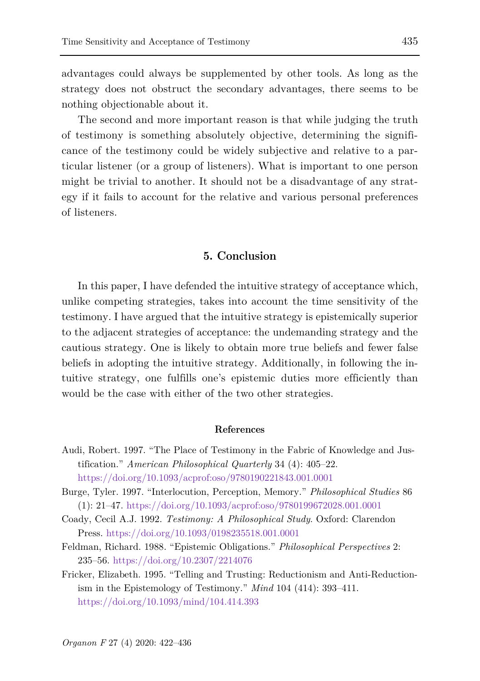advantages could always be supplemented by other tools. As long as the strategy does not obstruct the secondary advantages, there seems to be nothing objectionable about it.

The second and more important reason is that while judging the truth of testimony is something absolutely objective, determining the significance of the testimony could be widely subjective and relative to a particular listener (or a group of listeners). What is important to one person might be trivial to another. It should not be a disadvantage of any strategy if it fails to account for the relative and various personal preferences of listeners.

#### **5. Conclusion**

In this paper, I have defended the intuitive strategy of acceptance which, unlike competing strategies, takes into account the time sensitivity of the testimony. I have argued that the intuitive strategy is epistemically superior to the adjacent strategies of acceptance: the undemanding strategy and the cautious strategy. One is likely to obtain more true beliefs and fewer false beliefs in adopting the intuitive strategy. Additionally, in following the intuitive strategy, one fulfills one's epistemic duties more efficiently than would be the case with either of the two other strategies.

#### **References**

- Audi, Robert. 1997. "The Place of Testimony in the Fabric of Knowledge and Justification." *American Philosophical Quarterly* 34 (4): 405–22. <https://doi.org/10.1093/acprof:oso/9780190221843.001.0001>
- Burge, Tyler. 1997. "Interlocution, Perception, Memory." *Philosophical Studies* 86 (1): 21–47. <https://doi.org/10.1093/acprof:oso/9780199672028.001.0001>
- Coady, Cecil A.J. 1992. *Testimony: A Philosophical Study*. Oxford: Clarendon Press. <https://doi.org/10.1093/0198235518.001.0001>
- Feldman, Richard. 1988. "Epistemic Obligations." *Philosophical Perspectives* 2: 235–56. <https://doi.org/10.2307/2214076>
- Fricker, Elizabeth. 1995. "Telling and Trusting: Reductionism and Anti-Reductionism in the Epistemology of Testimony." *Mind* 104 (414): 393–411. <https://doi.org/10.1093/mind/104.414.393>